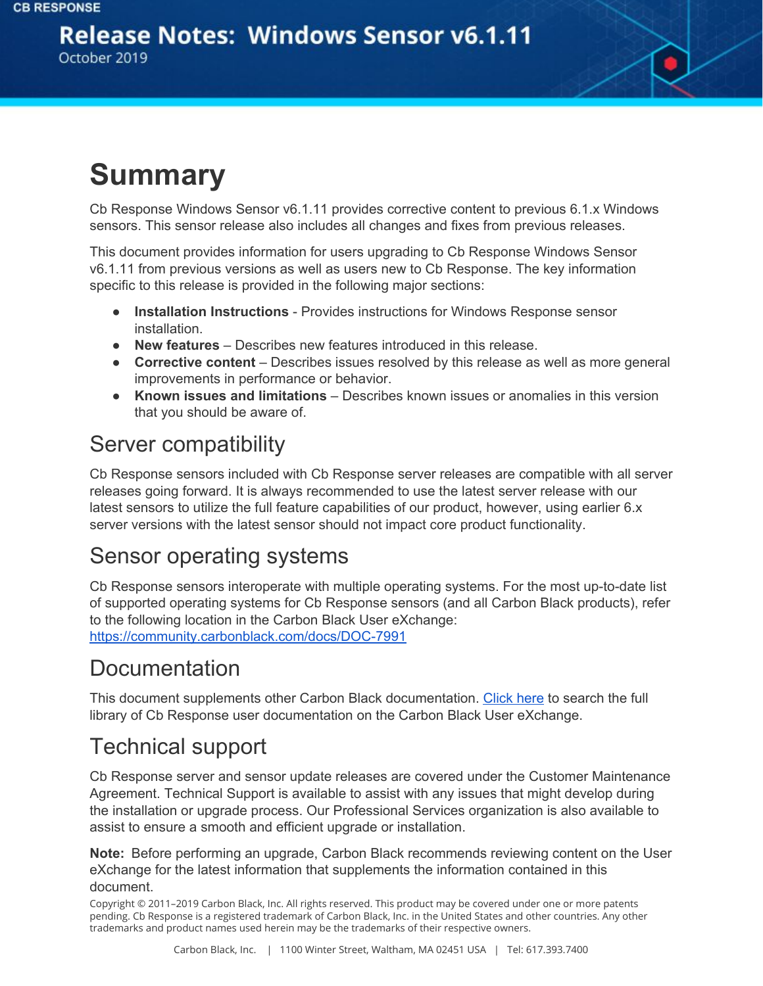#### **Release Notes: Windows Sensor v6.1.11** October 2019

## **Summary**

Cb Response Windows Sensor v6.1.11 provides corrective content to previous 6.1.x Windows sensors. This sensor release also includes all changes and fixes from previous releases.

This document provides information for users upgrading to Cb Response Windows Sensor v6.1.11 from previous versions as well as users new to Cb Response. The key information specific to this release is provided in the following major sections:

- **Installation Instructions** Provides instructions for Windows Response sensor installation.
- **New features** Describes new features introduced in this release.
- **Corrective content** Describes issues resolved by this release as well as more general improvements in performance or behavior.
- **Known issues and limitations** Describes known issues or anomalies in this version that you should be aware of.

#### Server compatibility

Cb Response sensors included with Cb Response server releases are compatible with all server releases going forward. It is always recommended to use the latest server release with our latest sensors to utilize the full feature capabilities of our product, however, using earlier 6.x server versions with the latest sensor should not impact core product functionality.

#### Sensor operating systems

Cb Response sensors interoperate with multiple operating systems. For the most up-to-date list of supported operating systems for Cb Response sensors (and all Carbon Black products), refer to the following location in the Carbon Black User eXchange: <https://community.carbonblack.com/docs/DOC-7991>

#### **Documentation**

This document supplements other Carbon Black documentation. [Click](https://community.carbonblack.com/t5/Cb-Response/ct-p/cbresponse) here to search the full library of Cb Response user documentation on the Carbon Black User eXchange.

### Technical support

Cb Response server and sensor update releases are covered under the Customer Maintenance Agreement. Technical Support is available to assist with any issues that might develop during the installation or upgrade process. Our Professional Services organization is also available to assist to ensure a smooth and efficient upgrade or installation.

**Note:** Before performing an upgrade, Carbon Black recommends reviewing content on the User eXchange for the latest information that supplements the information contained in this document.

Copyright © 2011–2019 Carbon Black, Inc. All rights reserved. This product may be covered under one or more patents pending. Cb Response is a registered trademark of Carbon Black, Inc. in the United States and other countries. Any other trademarks and product names used herein may be the trademarks of their respective owners.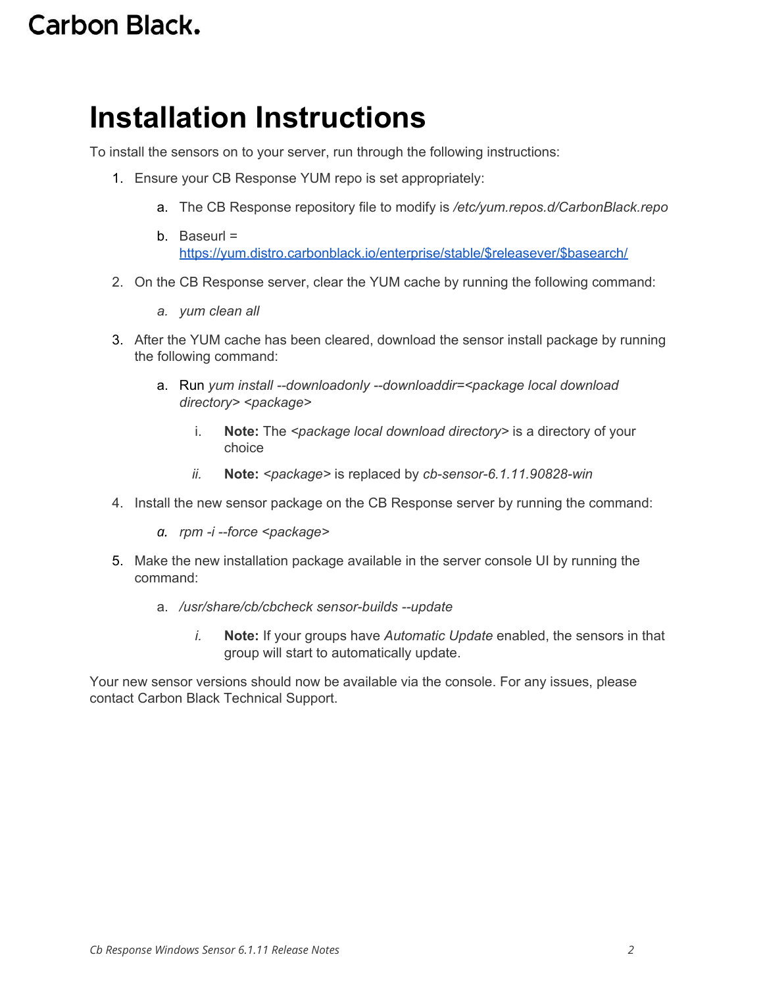### **Carbon Black.**

## **Installation Instructions**

To install the sensors on to your server, run through the following instructions:

- 1. Ensure your CB Response YUM repo is set appropriately:
	- a. The CB Response repository file to modify is */etc/yum.repos.d/CarbonBlack.repo*
	- b. Baseurl  $=$ [https://yum.distro.carbonblack.io/enterprise/stable/\\$releasever/\\$basearch/](https://yum.distro.carbonblack.io/enterprise/stable/$releasever/$basearch/)
- 2. On the CB Response server, clear the YUM cache by running the following command:
	- *a. yum clean all*
- 3. After the YUM cache has been cleared, download the sensor install package by running the following command:
	- a. Run *yum install --downloadonly --downloaddir=<package local download directory> <package>*
		- i. **Note:** The *<package local download directory>* is a directory of your choice
		- *ii.* **Note:** *<package>* is replaced by *cb-sensor-6.1.11.90828-win*
- 4. Install the new sensor package on the CB Response server by running the command:
	- *a. rpm -i --force <package>*
- 5. Make the new installation package available in the server console UI by running the command:
	- a. */usr/share/cb/cbcheck sensor-builds --update*
		- *i.* **Note:** If your groups have *Automatic Update* enabled, the sensors in that group will start to automatically update.

Your new sensor versions should now be available via the console. For any issues, please contact Carbon Black Technical Support.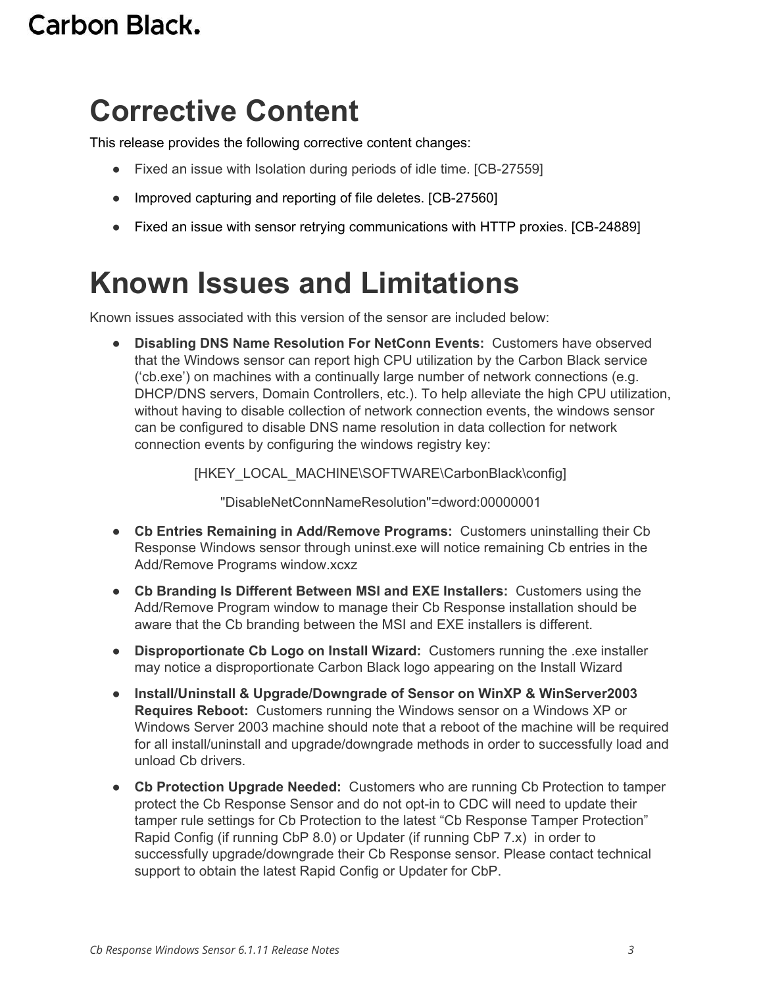### **Carbon Black.**

## **Corrective Content**

This release provides the following corrective content changes:

- Fixed an issue with Isolation during periods of idle time. [CB-27559]
- Improved capturing and reporting of file deletes. [CB-27560]
- Fixed an issue with sensor retrying communications with HTTP proxies. [CB-24889]

## **Known Issues and Limitations**

Known issues associated with this version of the sensor are included below:

● **Disabling DNS Name Resolution For NetConn Events:** Customers have observed that the Windows sensor can report high CPU utilization by the Carbon Black service ('cb.exe') on machines with a continually large number of network connections (e.g. DHCP/DNS servers, Domain Controllers, etc.). To help alleviate the high CPU utilization, without having to disable collection of network connection events, the windows sensor can be configured to disable DNS name resolution in data collection for network connection events by configuring the windows registry key:

[HKEY\_LOCAL\_MACHINE\SOFTWARE\CarbonBlack\config]

"DisableNetConnNameResolution"=dword:00000001

- **Cb Entries Remaining in Add/Remove Programs:** Customers uninstalling their Cb Response Windows sensor through uninst.exe will notice remaining Cb entries in the Add/Remove Programs window.xcxz
- **Cb Branding Is Different Between MSI and EXE Installers:** Customers using the Add/Remove Program window to manage their Cb Response installation should be aware that the Cb branding between the MSI and EXE installers is different.
- **Disproportionate Cb Logo on Install Wizard:** Customers running the .exe installer may notice a disproportionate Carbon Black logo appearing on the Install Wizard
- **Install/Uninstall & Upgrade/Downgrade of Sensor on WinXP & WinServer2003 Requires Reboot:** Customers running the Windows sensor on a Windows XP or Windows Server 2003 machine should note that a reboot of the machine will be required for all install/uninstall and upgrade/downgrade methods in order to successfully load and unload Cb drivers.
- **Cb Protection Upgrade Needed:** Customers who are running Cb Protection to tamper protect the Cb Response Sensor and do not opt-in to CDC will need to update their tamper rule settings for Cb Protection to the latest "Cb Response Tamper Protection" Rapid Config (if running CbP 8.0) or Updater (if running CbP 7.x) in order to successfully upgrade/downgrade their Cb Response sensor. Please contact technical support to obtain the latest Rapid Config or Updater for CbP.